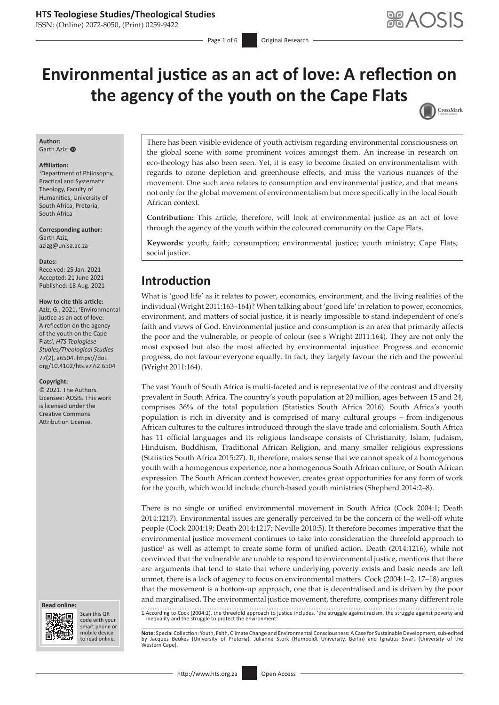ISSN: (Online) 2072-8050, (Print) 0259-9422

CrossMark

# **Environmental justice as an act of love: A reflection on the agency of the youth on the Cape Flats**

#### **Author:** Garth Aziz<sup>[1](https://orcid.org/0000-0002-2309-4666)</sup> $\bullet$

#### **Affiliation:**

1 Department of Philosophy, Practical and Systematic Theology, Faculty of Humanities, University of South Africa, Pretoria, South Africa

**Corresponding author:** Garth Aziz, [azizg@unisa.ac.za](mailto:azizg@unisa.ac.za)

#### **Dates:**

Received: 25 Jan. 2021 Accepted: 21 June 2021 Published: 18 Aug. 2021

#### **How to cite this article:**

Aziz, G., 2021, 'Environmental justice as an act of love: A reflection on the agency of the youth on the Cape Flats', *HTS Teologiese Studies/Theological Studies* 77(2), a6504. [https://doi.](https://doi.org/10.4102/hts.v77i2.6504) [org/10.4102/hts.v77i2.6504](https://doi.org/10.4102/hts.v77i2.6504)

#### **Copyright:**

© 2021. The Authors. Licensee: AOSIS. This work is licensed under the Creative Commons Attribution License.





Scan this QR code with your Scan this QR<br>code with your<br>smart phone or<br>mobile device mobile device to read online. to read online.

There has been visible evidence of youth activism regarding environmental consciousness on the global scene with some prominent voices amongst them. An increase in research on eco-theology has also been seen. Yet, it is easy to become fixated on environmentalism with regards to ozone depletion and greenhouse effects, and miss the various nuances of the movement. One such area relates to consumption and environmental justice, and that means not only for the global movement of environmentalism but more specifically in the local South African context.

**Contribution:** This article, therefore, will look at environmental justice as an act of love through the agency of the youth within the coloured community on the Cape Flats.

**Keywords:** youth; faith; consumption; environmental justice; youth ministry; Cape Flats; social justice.

# **Introduction**

What is 'good life' as it relates to power, economics, environment, and the living realities of the individual (Wright 2011:163–164)? When talking about 'good life' in relation to power, economics, environment, and matters of social justice, it is nearly impossible to stand independent of one's faith and views of God. Environmental justice and consumption is an area that primarily affects the poor and the vulnerable, or people of colour (see s Wright 2011:164). They are not only the most exposed but also the most affected by environmental injustice. Progress and economic progress, do not favour everyone equally. In fact, they largely favour the rich and the powerful (Wright 2011:164).

The vast Youth of South Africa is multi-faceted and is representative of the contrast and diversity prevalent in South Africa. The country's youth population at 20 million, ages between 15 and 24, comprises 36% of the total population (Statistics South Africa 2016). South Africa's youth population is rich in diversity and is comprised of many cultural groups – from indigenous African cultures to the cultures introduced through the slave trade and colonialism. South Africa has 11 official languages and its religious landscape consists of Christianity, Islam, Judaism, Hinduism, Buddhism, Traditional African Religion, and many smaller religious expressions (Statistics South Africa 2015:27). It, therefore, makes sense that we cannot speak of a homogenous youth with a homogenous experience, nor a homogenous South African culture, or South African expression. The South African context however, creates great opportunities for any form of work for the youth, which would include church-based youth ministries (Shepherd 2014:2–8).

There is no single or unified environmental movement in South Africa (Cock 2004:1; Death 2014:1217). Environmental issues are generally perceived to be the concern of the well-off white people (Cock 2004:19; Death 2014:1217; Neville 2010:5). It therefore becomes imperative that the environmental justice movement continues to take into consideration the threefold approach to justice<sup>1</sup> as well as attempt to create some form of unified action. Death (2014:1216), while not convinced that the vulnerable are unable to respond to environmental justice, mentions that there are arguments that tend to state that where underlying poverty exists and basic needs are left unmet, there is a lack of agency to focus on environmental matters. Cock (2004:1–2, 17–18) argues that the movement is a bottom-up approach, one that is decentralised and is driven by the poor and marginalised. The environmental justice movement, therefore, comprises many different role 1.According to Cock (2004:2), the threefold approach to justice includes, 'the struggle against racism, the struggle against poverty and inequality and the struggle to protect the environment'.

Note: Special Collection: Youth, Faith, Climate Change and Environmental Consciousness: A Case for Sustainable Development, sub-edited<br>by Jacques Beukes (University of Pretoria), Julianne Stork (Humboldt University, Berlin Western Cane)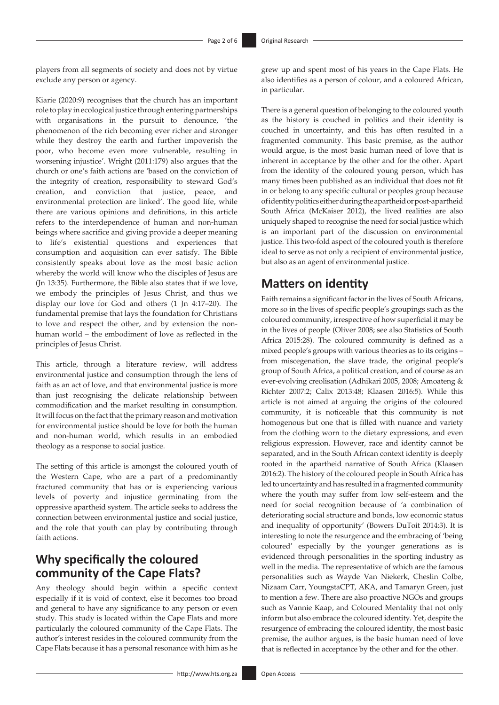players from all segments of society and does not by virtue exclude any person or agency.

Kiarie (2020:9) recognises that the church has an important role to play in ecological justice through entering partnerships with organisations in the pursuit to denounce, 'the phenomenon of the rich becoming ever richer and stronger while they destroy the earth and further impoverish the poor, who become even more vulnerable, resulting in worsening injustice'. Wright (2011:179) also argues that the church or one's faith actions are 'based on the conviction of the integrity of creation, responsibility to steward God's creation, and conviction that justice, peace, and environmental protection are linked'. The good life, while there are various opinions and definitions, in this article refers to the interdependence of human and non-human beings where sacrifice and giving provide a deeper meaning to life's existential questions and experiences that consumption and acquisition can ever satisfy. The Bible consistently speaks about love as the most basic action whereby the world will know who the disciples of Jesus are (Jn 13:35). Furthermore, the Bible also states that if we love, we embody the principles of Jesus Christ, and thus we display our love for God and others (1 Jn 4:17–20). The fundamental premise that lays the foundation for Christians to love and respect the other, and by extension the nonhuman world – the embodiment of love as reflected in the principles of Jesus Christ.

This article, through a literature review, will address environmental justice and consumption through the lens of faith as an act of love, and that environmental justice is more than just recognising the delicate relationship between commodification and the market resulting in consumption. It will focus on the fact that the primary reason and motivation for environmental justice should be love for both the human and non-human world, which results in an embodied theology as a response to social justice.

The setting of this article is amongst the coloured youth of the Western Cape, who are a part of a predominantly fractured community that has or is experiencing various levels of poverty and injustice germinating from the oppressive apartheid system. The article seeks to address the connection between environmental justice and social justice, and the role that youth can play by contributing through faith actions.

# **Why specifically the coloured community of the Cape Flats?**

Any theology should begin within a specific context especially if it is void of context, else it becomes too broad and general to have any significance to any person or even study. This study is located within the Cape Flats and more particularly the coloured community of the Cape Flats. The author's interest resides in the coloured community from the Cape Flats because it has a personal resonance with him as he

grew up and spent most of his years in the Cape Flats. He also identifies as a person of colour, and a coloured African, in particular.

There is a general question of belonging to the coloured youth as the history is couched in politics and their identity is couched in uncertainty, and this has often resulted in a fragmented community. This basic premise, as the author would argue, is the most basic human need of love that is inherent in acceptance by the other and for the other. Apart from the identity of the coloured young person, which has many times been published as an individual that does not fit in or belong to any specific cultural or peoples group because of identity politics either during the apartheid or post-apartheid South Africa (McKaiser 2012), the lived realities are also uniquely shaped to recognise the need for social justice which is an important part of the discussion on environmental justice. This two-fold aspect of the coloured youth is therefore ideal to serve as not only a recipient of environmental justice, but also as an agent of environmental justice.

### **Matters on identity**

Faith remains a significant factor in the lives of South Africans, more so in the lives of specific people's groupings such as the coloured community, irrespective of how superficial it may be in the lives of people (Oliver 2008; see also Statistics of South Africa 2015:28). The coloured community is defined as a mixed people's groups with various theories as to its origins – from miscegenation, the slave trade, the original people's group of South Africa, a political creation, and of course as an ever-evolving creolisation (Adhikari 2005, 2008; Amoateng & Richter 2007:2; Calix 2013:48; Klaasen 2016:5). While this article is not aimed at arguing the origins of the coloured community, it is noticeable that this community is not homogenous but one that is filled with nuance and variety from the clothing worn to the dietary expressions, and even religious expression. However, race and identity cannot be separated, and in the South African context identity is deeply rooted in the apartheid narrative of South Africa (Klaasen 2016:2). The history of the coloured people in South Africa has led to uncertainty and has resulted in a fragmented community where the youth may suffer from low self-esteem and the need for social recognition because of 'a combination of deteriorating social structure and bonds, low economic status and inequality of opportunity' (Bowers DuToit 2014:3). It is interesting to note the resurgence and the embracing of 'being coloured' especially by the younger generations as is evidenced through personalities in the sporting industry as well in the media. The representative of which are the famous personalities such as Wayde Van Niekerk, Cheslin Colbe, Nizaam Carr, YoungstaCPT, AKA, and Tamaryn Green, just to mention a few. There are also proactive NGOs and groups such as Vannie Kaap, and Coloured Mentality that not only inform but also embrace the coloured identity. Yet, despite the resurgence of embracing the coloured identity, the most basic premise, the author argues, is the basic human need of love that is reflected in acceptance by the other and for the other.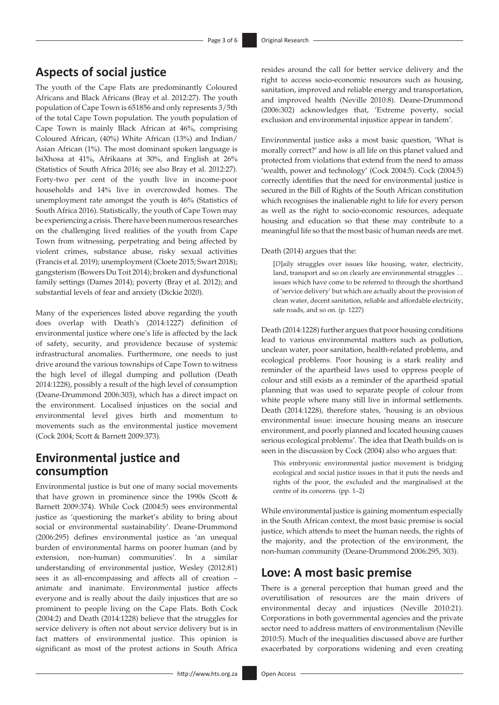# **Aspects of social justice**

The youth of the Cape Flats are predominantly Coloured Africans and Black Africans (Bray et al. 2012:27). The youth population of Cape Town is 651856 and only represents 3/5th of the total Cape Town population. The youth population of Cape Town is mainly Black African at 46%, comprising Coloured African, (40%) White African (13%) and Indian/ Asian African (1%). The most dominant spoken language is IsiXhosa at 41%, Afrikaans at 30%, and English at 26% (Statistics of South Africa 2016; see also Bray et al. 2012:27). Forty-two per cent of the youth live in income-poor households and 14% live in overcrowded homes. The unemployment rate amongst the youth is 46% (Statistics of South Africa 2016). Statistically, the youth of Cape Town may be experiencing a crisis. There have been numerous researches on the challenging lived realities of the youth from Cape Town from witnessing, perpetrating and being affected by violent crimes, substance abuse, risky sexual activities (Francis et al. 2019); unemployment (Cloete 2015; Swart 2018); gangsterism (Bowers Du Toit 2014); broken and dysfunctional family settings (Dames 2014); poverty (Bray et al. 2012); and substantial levels of fear and anxiety (Dickie 2020).

Many of the experiences listed above regarding the youth does overlap with Death's (2014:1227) definition of environmental justice where one's life is affected by the lack of safety, security, and providence because of systemic infrastructural anomalies. Furthermore, one needs to just drive around the various townships of Cape Town to witness the high level of illegal dumping and pollution (Death 2014:1228), possibly a result of the high level of consumption (Deane-Drummond 2006:303), which has a direct impact on the environment. Localised injustices on the social and environmental level gives birth and momentum to movements such as the environmental justice movement (Cock 2004; Scott & Barnett 2009:373).

# **Environmental justice and consumption**

Environmental justice is but one of many social movements that have grown in prominence since the 1990s (Scott & Barnett 2009:374). While Cock (2004:5) sees environmental justice as 'questioning the market's ability to bring about social or environmental sustainability'. Deane-Drummond (2006:295) defines environmental justice as 'an unequal burden of environmental harms on poorer human (and by extension, non-human) communities'. In a similar understanding of environmental justice, Wesley (2012:81) sees it as all-encompassing and affects all of creation – animate and inanimate. Environmental justice affects everyone and is really about the daily injustices that are so prominent to people living on the Cape Flats. Both Cock (2004:2) and Death (2014:1228) believe that the struggles for service delivery is often not about service delivery but is in fact matters of environmental justice. This opinion is significant as most of the protest actions in South Africa

resides around the call for better service delivery and the right to access socio-economic resources such as housing, sanitation, improved and reliable energy and transportation, and improved health (Neville 2010:8). Deane-Drummond (2006:302) acknowledges that, 'Extreme poverty, social exclusion and environmental injustice appear in tandem'.

Environmental justice asks a most basic question, 'What is morally correct?' and how is all life on this planet valued and protected from violations that extend from the need to amass 'wealth, power and technology' (Cock 2004:5). Cock (2004:5) correctly identifies that the need for environmental justice is secured in the Bill of Rights of the South African constitution which recognises the inalienable right to life for every person as well as the right to socio-economic resources, adequate housing and education so that these may contribute to a meaningful life so that the most basic of human needs are met.

Death (2014) argues that the:

[*D*]aily struggles over issues like housing, water, electricity, land, transport and so on clearly are environmental struggles ... issues which have come to be referred to through the shorthand of 'service delivery' but which are actually about the provision of clean water, decent sanitation, reliable and affordable electricity, safe roads, and so on. (p. 1227)

Death (2014:1228) further argues that poor housing conditions lead to various environmental matters such as pollution, unclean water, poor sanitation, health-related problems, and ecological problems. Poor housing is a stark reality and reminder of the apartheid laws used to oppress people of colour and still exists as a reminder of the apartheid spatial planning that was used to separate people of colour from white people where many still live in informal settlements. Death (2014:1228), therefore states, 'housing is an obvious environmental issue: insecure housing means an insecure environment, and poorly planned and located housing causes serious ecological problems'. The idea that Death builds on is seen in the discussion by Cock (2004) also who argues that:

This embryonic environmental justice movement is bridging ecological and social justice issues in that it puts the needs and rights of the poor, the excluded and the marginalised at the centre of its concerns. (pp. 1–2)

While environmental justice is gaining momentum especially in the South African context, the most basic premise is social justice, which attends to meet the human needs, the rights of the majority, and the protection of the environment, the non-human community (Deane-Drummond 2006:295, 303).

### **Love: A most basic premise**

There is a general perception that human greed and the overutilisation of resources are the main drivers of environmental decay and injustices (Neville 2010:21). Corporations in both governmental agencies and the private sector need to address matters of environmentalism (Neville 2010:5). Much of the inequalities discussed above are further exacerbated by corporations widening and even creating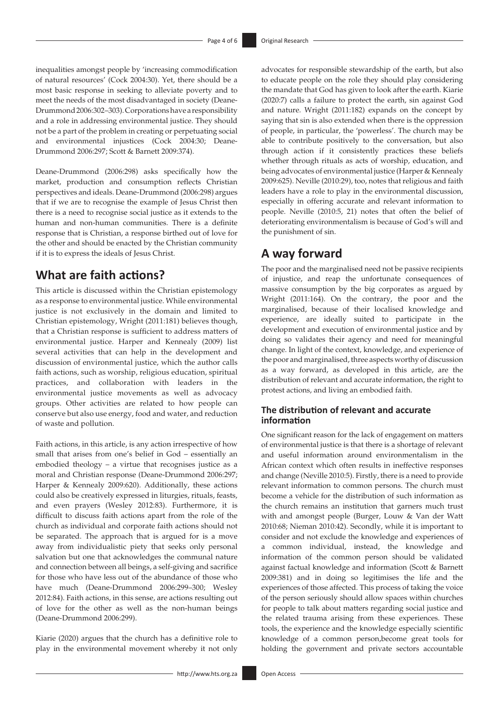inequalities amongst people by 'increasing commodification of natural resources' (Cock 2004:30). Yet, there should be a most basic response in seeking to alleviate poverty and to meet the needs of the most disadvantaged in society (Deane-Drummond 2006:302–303). Corporations have a responsibility and a role in addressing environmental justice. They should not be a part of the problem in creating or perpetuating social and environmental injustices (Cock 2004:30; Deane-Drummond 2006:297; Scott & Barnett 2009:374).

Deane-Drummond (2006:298) asks specifically how the market, production and consumption reflects Christian perspectives and ideals. Deane-Drummond (2006:298) argues that if we are to recognise the example of Jesus Christ then there is a need to recognise social justice as it extends to the human and non-human communities. There is a definite response that is Christian, a response birthed out of love for the other and should be enacted by the Christian community if it is to express the ideals of Jesus Christ.

### **What are faith actions?**

This article is discussed within the Christian epistemology as a response to environmental justice. While environmental justice is not exclusively in the domain and limited to Christian epistemology, Wright (2011:181) believes though, that a Christian response is sufficient to address matters of environmental justice. Harper and Kennealy (2009) list several activities that can help in the development and discussion of environmental justice, which the author calls faith actions, such as worship, religious education, spiritual practices, and collaboration with leaders in the environmental justice movements as well as advocacy groups. Other activities are related to how people can conserve but also use energy, food and water, and reduction of waste and pollution.

Faith actions, in this article, is any action irrespective of how small that arises from one's belief in God – essentially an embodied theology – a virtue that recognises justice as a moral and Christian response (Deane-Drummond 2006:297; Harper & Kennealy 2009:620). Additionally, these actions could also be creatively expressed in liturgies, rituals, feasts, and even prayers (Wesley 2012:83). Furthermore, it is difficult to discuss faith actions apart from the role of the church as individual and corporate faith actions should not be separated. The approach that is argued for is a move away from individualistic piety that seeks only personal salvation but one that acknowledges the communal nature and connection between all beings, a self-giving and sacrifice for those who have less out of the abundance of those who have much (Deane-Drummond 2006:299–300; Wesley 2012:84). Faith actions, in this sense, are actions resulting out of love for the other as well as the non-human beings (Deane-Drummond 2006:299).

Kiarie (2020) argues that the church has a definitive role to play in the environmental movement whereby it not only

advocates for responsible stewardship of the earth, but also to educate people on the role they should play considering the mandate that God has given to look after the earth. Kiarie (2020:7) calls a failure to protect the earth, sin against God and nature. Wright (2011:182) expands on the concept by saying that sin is also extended when there is the oppression of people, in particular, the 'powerless'. The church may be able to contribute positively to the conversation, but also through action if it consistently practices these beliefs whether through rituals as acts of worship, education, and being advocates of environmental justice (Harper & Kennealy 2009:625). Neville (2010:29), too, notes that religious and faith leaders have a role to play in the environmental discussion, especially in offering accurate and relevant information to people. Neville (2010:5, 21) notes that often the belief of deteriorating environmentalism is because of God's will and the punishment of sin.

# **A way forward**

The poor and the marginalised need not be passive recipients of injustice, and reap the unfortunate consequences of massive consumption by the big corporates as argued by Wright (2011:164). On the contrary, the poor and the marginalised, because of their localised knowledge and experience, are ideally suited to participate in the development and execution of environmental justice and by doing so validates their agency and need for meaningful change. In light of the context, knowledge, and experience of the poor and marginalised, three aspects worthy of discussion as a way forward, as developed in this article, are the distribution of relevant and accurate information, the right to protest actions, and living an embodied faith.

### **The distribution of relevant and accurate information**

One significant reason for the lack of engagement on matters of environmental justice is that there is a shortage of relevant and useful information around environmentalism in the African context which often results in ineffective responses and change (Neville 2010:5). Firstly, there is a need to provide relevant information to common persons. The church must become a vehicle for the distribution of such information as the church remains an institution that garners much trust with and amongst people (Burger, Louw & Van der Watt 2010:68; Nieman 2010:42). Secondly, while it is important to consider and not exclude the knowledge and experiences of a common individual, instead, the knowledge and information of the common person should be validated against factual knowledge and information (Scott & Barnett 2009:381) and in doing so legitimises the life and the experiences of those affected. This process of taking the voice of the person seriously should allow spaces within churches for people to talk about matters regarding social justice and the related trauma arising from these experiences. These tools, the experience and the knowledge especially scientific knowledge of a common person,become great tools for holding the government and private sectors accountable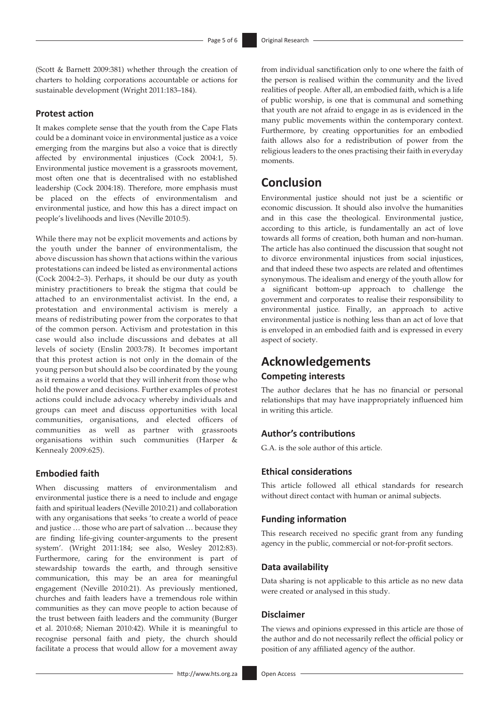(Scott & Barnett 2009:381) whether through the creation of charters to holding corporations accountable or actions for sustainable development (Wright 2011:183–184).

#### **Protest action**

It makes complete sense that the youth from the Cape Flats could be a dominant voice in environmental justice as a voice emerging from the margins but also a voice that is directly affected by environmental injustices (Cock 2004:1, 5). Environmental justice movement is a grassroots movement, most often one that is decentralised with no established leadership (Cock 2004:18). Therefore, more emphasis must be placed on the effects of environmentalism and environmental justice, and how this has a direct impact on people's livelihoods and lives (Neville 2010:5).

While there may not be explicit movements and actions by the youth under the banner of environmentalism, the above discussion has shown that actions within the various protestations can indeed be listed as environmental actions (Cock 2004:2–3). Perhaps, it should be our duty as youth ministry practitioners to break the stigma that could be attached to an environmentalist activist. In the end, a protestation and environmental activism is merely a means of redistributing power from the corporates to that of the common person. Activism and protestation in this case would also include discussions and debates at all levels of society (Enslin 2003:78). It becomes important that this protest action is not only in the domain of the young person but should also be coordinated by the young as it remains a world that they will inherit from those who hold the power and decisions. Further examples of protest actions could include advocacy whereby individuals and groups can meet and discuss opportunities with local communities, organisations, and elected officers of communities as well as partner with grassroots organisations within such communities (Harper & Kennealy 2009:625).

### **Embodied faith**

When discussing matters of environmentalism and environmental justice there is a need to include and engage faith and spiritual leaders (Neville 2010:21) and collaboration with any organisations that seeks 'to create a world of peace and justice … those who are part of salvation … because they are finding life-giving counter-arguments to the present system'. (Wright 2011:184; see also, Wesley 2012:83). Furthermore, caring for the environment is part of stewardship towards the earth, and through sensitive communication, this may be an area for meaningful engagement (Neville 2010:21). As previously mentioned, churches and faith leaders have a tremendous role within communities as they can move people to action because of the trust between faith leaders and the community (Burger et al. 2010:68; Nieman 2010:42). While it is meaningful to recognise personal faith and piety, the church should facilitate a process that would allow for a movement away

from individual sanctification only to one where the faith of the person is realised within the community and the lived realities of people. After all, an embodied faith, which is a life of public worship, is one that is communal and something that youth are not afraid to engage in as is evidenced in the many public movements within the contemporary context. Furthermore, by creating opportunities for an embodied faith allows also for a redistribution of power from the religious leaders to the ones practising their faith in everyday moments.

### **Conclusion**

Environmental justice should not just be a scientific or economic discussion. It should also involve the humanities and in this case the theological. Environmental justice, according to this article, is fundamentally an act of love towards all forms of creation, both human and non-human. The article has also continued the discussion that sought not to divorce environmental injustices from social injustices, and that indeed these two aspects are related and oftentimes synonymous. The idealism and energy of the youth allow for a significant bottom-up approach to challenge the government and corporates to realise their responsibility to environmental justice. Finally, an approach to active environmental justice is nothing less than an act of love that is enveloped in an embodied faith and is expressed in every aspect of society.

### **Acknowledgements**

### **Competing interests**

The author declares that he has no financial or personal relationships that may have inappropriately influenced him in writing this article.

#### **Author's contributions**

G.A. is the sole author of this article.

### **Ethical considerations**

This article followed all ethical standards for research without direct contact with human or animal subjects.

#### **Funding information**

This research received no specific grant from any funding agency in the public, commercial or not-for-profit sectors.

#### **Data availability**

Data sharing is not applicable to this article as no new data were created or analysed in this study.

### **Disclaimer**

The views and opinions expressed in this article are those of the author and do not necessarily reflect the official policy or position of any affiliated agency of the author.